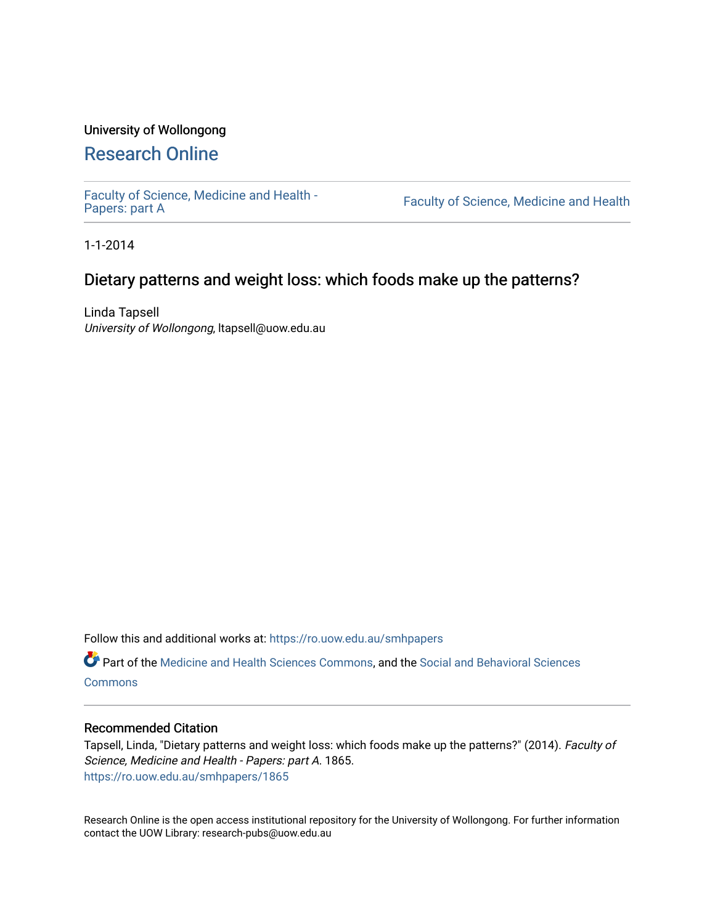## University of Wollongong

# [Research Online](https://ro.uow.edu.au/)

[Faculty of Science, Medicine and Health -](https://ro.uow.edu.au/smhpapers) Papers: part A

Faculty of Science, Medicine and Health

1-1-2014

## Dietary patterns and weight loss: which foods make up the patterns?

Linda Tapsell University of Wollongong, ltapsell@uow.edu.au

Follow this and additional works at: [https://ro.uow.edu.au/smhpapers](https://ro.uow.edu.au/smhpapers?utm_source=ro.uow.edu.au%2Fsmhpapers%2F1865&utm_medium=PDF&utm_campaign=PDFCoverPages) 

Part of the [Medicine and Health Sciences Commons,](http://network.bepress.com/hgg/discipline/648?utm_source=ro.uow.edu.au%2Fsmhpapers%2F1865&utm_medium=PDF&utm_campaign=PDFCoverPages) and the [Social and Behavioral Sciences](http://network.bepress.com/hgg/discipline/316?utm_source=ro.uow.edu.au%2Fsmhpapers%2F1865&utm_medium=PDF&utm_campaign=PDFCoverPages) [Commons](http://network.bepress.com/hgg/discipline/316?utm_source=ro.uow.edu.au%2Fsmhpapers%2F1865&utm_medium=PDF&utm_campaign=PDFCoverPages)

#### Recommended Citation

Tapsell, Linda, "Dietary patterns and weight loss: which foods make up the patterns?" (2014). Faculty of Science, Medicine and Health - Papers: part A. 1865. [https://ro.uow.edu.au/smhpapers/1865](https://ro.uow.edu.au/smhpapers/1865?utm_source=ro.uow.edu.au%2Fsmhpapers%2F1865&utm_medium=PDF&utm_campaign=PDFCoverPages)

Research Online is the open access institutional repository for the University of Wollongong. For further information contact the UOW Library: research-pubs@uow.edu.au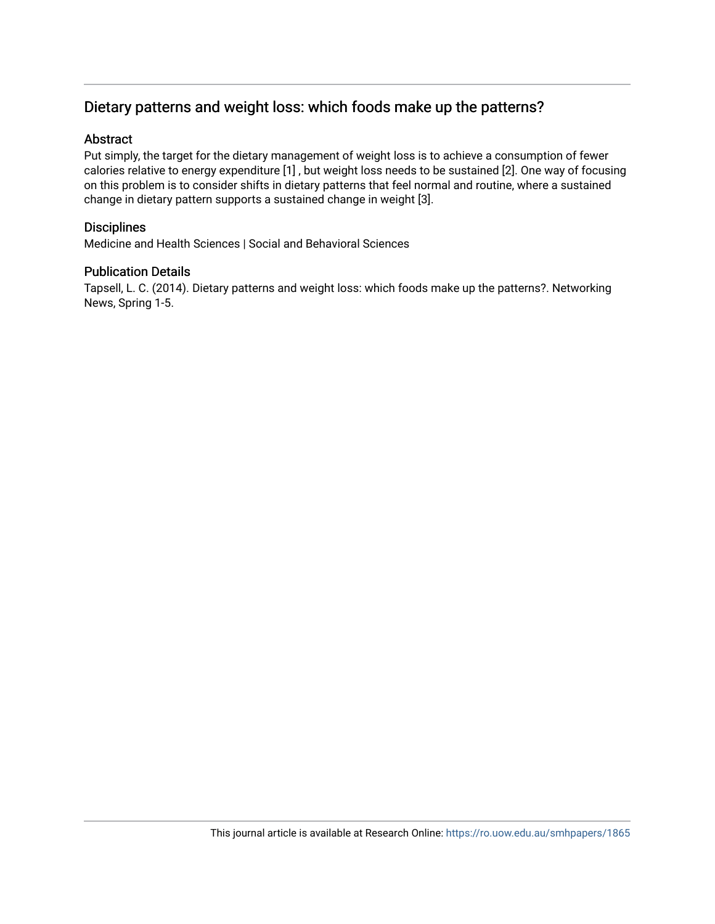## Dietary patterns and weight loss: which foods make up the patterns?

#### Abstract

Put simply, the target for the dietary management of weight loss is to achieve a consumption of fewer calories relative to energy expenditure [1] , but weight loss needs to be sustained [2]. One way of focusing on this problem is to consider shifts in dietary patterns that feel normal and routine, where a sustained change in dietary pattern supports a sustained change in weight [3].

#### **Disciplines**

Medicine and Health Sciences | Social and Behavioral Sciences

#### Publication Details

Tapsell, L. C. (2014). Dietary patterns and weight loss: which foods make up the patterns?. Networking News, Spring 1-5.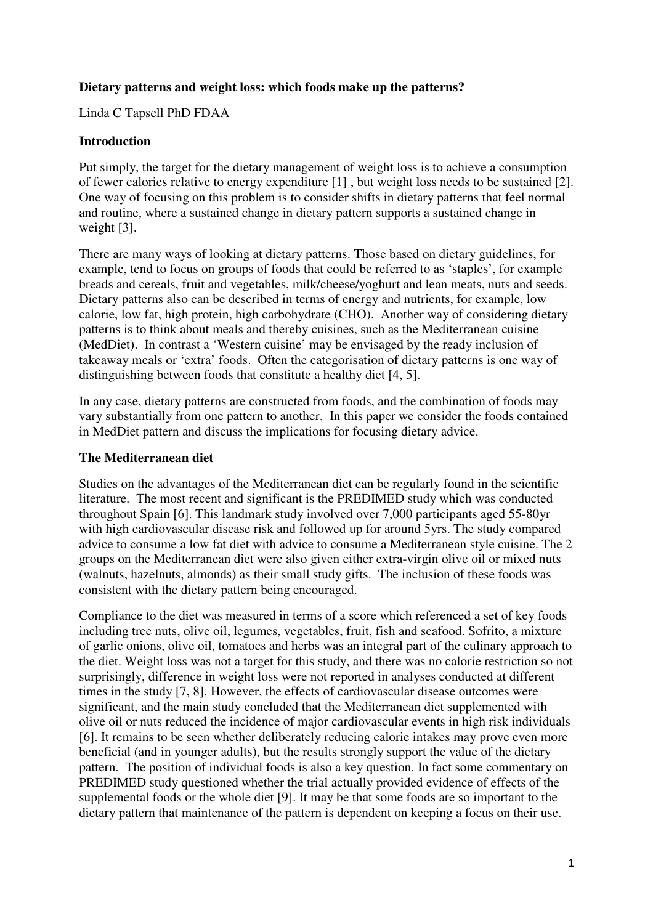## **Dietary patterns and weight loss: which foods make up the patterns?**

Linda C Tapsell PhD FDAA

### **Introduction**

Put simply, the target for the dietary management of weight loss is to achieve a consumption of fewer calories relative to energy expenditure [1] , but weight loss needs to be sustained [2]. One way of focusing on this problem is to consider shifts in dietary patterns that feel normal and routine, where a sustained change in dietary pattern supports a sustained change in weight [3].

There are many ways of looking at dietary patterns. Those based on dietary guidelines, for example, tend to focus on groups of foods that could be referred to as 'staples', for example breads and cereals, fruit and vegetables, milk/cheese/yoghurt and lean meats, nuts and seeds. Dietary patterns also can be described in terms of energy and nutrients, for example, low calorie, low fat, high protein, high carbohydrate (CHO). Another way of considering dietary patterns is to think about meals and thereby cuisines, such as the Mediterranean cuisine (MedDiet). In contrast a 'Western cuisine' may be envisaged by the ready inclusion of takeaway meals or 'extra' foods. Often the categorisation of dietary patterns is one way of distinguishing between foods that constitute a healthy diet [4, 5].

In any case, dietary patterns are constructed from foods, and the combination of foods may vary substantially from one pattern to another. In this paper we consider the foods contained in MedDiet pattern and discuss the implications for focusing dietary advice.

#### **The Mediterranean diet**

Studies on the advantages of the Mediterranean diet can be regularly found in the scientific literature. The most recent and significant is the PREDIMED study which was conducted throughout Spain [6]. This landmark study involved over 7,000 participants aged 55-80yr with high cardiovascular disease risk and followed up for around 5yrs. The study compared advice to consume a low fat diet with advice to consume a Mediterranean style cuisine. The 2 groups on the Mediterranean diet were also given either extra-virgin olive oil or mixed nuts (walnuts, hazelnuts, almonds) as their small study gifts. The inclusion of these foods was consistent with the dietary pattern being encouraged.

Compliance to the diet was measured in terms of a score which referenced a set of key foods including tree nuts, olive oil, legumes, vegetables, fruit, fish and seafood. Sofrito, a mixture of garlic onions, olive oil, tomatoes and herbs was an integral part of the culinary approach to the diet. Weight loss was not a target for this study, and there was no calorie restriction so not surprisingly, difference in weight loss were not reported in analyses conducted at different times in the study [7, 8]. However, the effects of cardiovascular disease outcomes were significant, and the main study concluded that the Mediterranean diet supplemented with olive oil or nuts reduced the incidence of major cardiovascular events in high risk individuals [6]. It remains to be seen whether deliberately reducing calorie intakes may prove even more beneficial (and in younger adults), but the results strongly support the value of the dietary pattern. The position of individual foods is also a key question. In fact some commentary on PREDIMED study questioned whether the trial actually provided evidence of effects of the supplemental foods or the whole diet [9]. It may be that some foods are so important to the dietary pattern that maintenance of the pattern is dependent on keeping a focus on their use.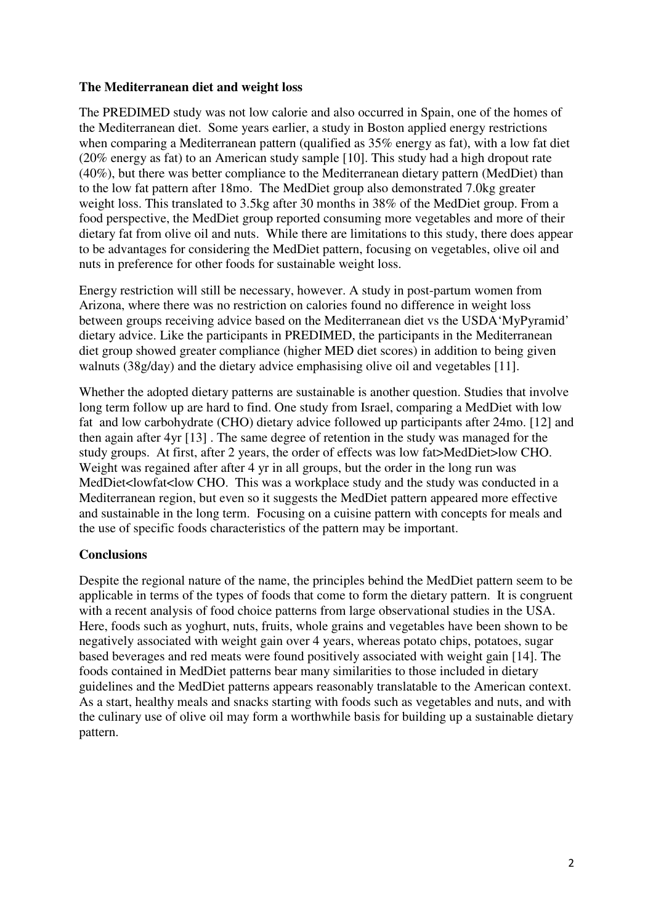## **The Mediterranean diet and weight loss**

The PREDIMED study was not low calorie and also occurred in Spain, one of the homes of the Mediterranean diet. Some years earlier, a study in Boston applied energy restrictions when comparing a Mediterranean pattern (qualified as 35% energy as fat), with a low fat diet (20% energy as fat) to an American study sample [10]. This study had a high dropout rate (40%), but there was better compliance to the Mediterranean dietary pattern (MedDiet) than to the low fat pattern after 18mo. The MedDiet group also demonstrated 7.0kg greater weight loss. This translated to 3.5kg after 30 months in 38% of the MedDiet group. From a food perspective, the MedDiet group reported consuming more vegetables and more of their dietary fat from olive oil and nuts. While there are limitations to this study, there does appear to be advantages for considering the MedDiet pattern, focusing on vegetables, olive oil and nuts in preference for other foods for sustainable weight loss.

Energy restriction will still be necessary, however. A study in post-partum women from Arizona, where there was no restriction on calories found no difference in weight loss between groups receiving advice based on the Mediterranean diet vs the USDA'MyPyramid' dietary advice. Like the participants in PREDIMED, the participants in the Mediterranean diet group showed greater compliance (higher MED diet scores) in addition to being given walnuts (38g/day) and the dietary advice emphasising olive oil and vegetables [11].

Whether the adopted dietary patterns are sustainable is another question. Studies that involve long term follow up are hard to find. One study from Israel, comparing a MedDiet with low fat and low carbohydrate (CHO) dietary advice followed up participants after 24mo. [12] and then again after 4yr [13] . The same degree of retention in the study was managed for the study groups. At first, after 2 years, the order of effects was low fat>MedDiet>low CHO. Weight was regained after after 4 yr in all groups, but the order in the long run was MedDiet<lowfat<low CHO. This was a workplace study and the study was conducted in a Mediterranean region, but even so it suggests the MedDiet pattern appeared more effective and sustainable in the long term. Focusing on a cuisine pattern with concepts for meals and the use of specific foods characteristics of the pattern may be important.

#### **Conclusions**

Despite the regional nature of the name, the principles behind the MedDiet pattern seem to be applicable in terms of the types of foods that come to form the dietary pattern. It is congruent with a recent analysis of food choice patterns from large observational studies in the USA. Here, foods such as yoghurt, nuts, fruits, whole grains and vegetables have been shown to be negatively associated with weight gain over 4 years, whereas potato chips, potatoes, sugar based beverages and red meats were found positively associated with weight gain [14]. The foods contained in MedDiet patterns bear many similarities to those included in dietary guidelines and the MedDiet patterns appears reasonably translatable to the American context. As a start, healthy meals and snacks starting with foods such as vegetables and nuts, and with the culinary use of olive oil may form a worthwhile basis for building up a sustainable dietary pattern.